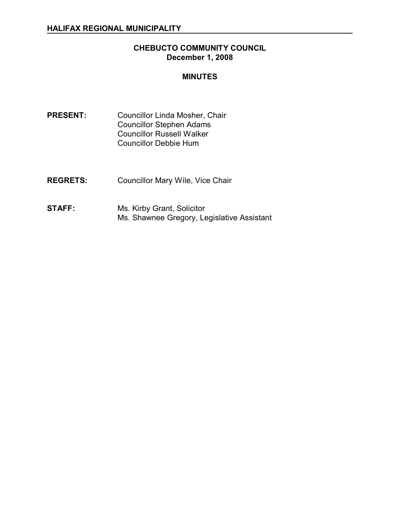## **CHEBUCTO COMMUNITY COUNCIL December 1, 2008**

### **MINUTES**

- **PRESENT:** Councillor Linda Mosher, Chair Councillor Stephen Adams Councillor Russell Walker Councillor Debbie Hum
- **REGRETS:** Councillor Mary Wile, Vice Chair
- **STAFF:** Ms. Kirby Grant, Solicitor Ms. Shawnee Gregory, Legislative Assistant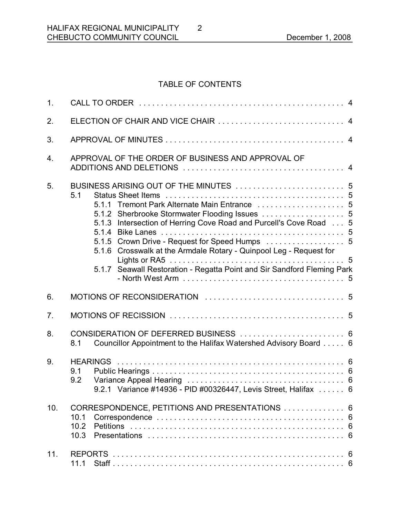# TABLE OF CONTENTS

2

| 1.  |                                                                                                                                                                                                                                                                                                                                  |
|-----|----------------------------------------------------------------------------------------------------------------------------------------------------------------------------------------------------------------------------------------------------------------------------------------------------------------------------------|
| 2.  |                                                                                                                                                                                                                                                                                                                                  |
| 3.  |                                                                                                                                                                                                                                                                                                                                  |
| 4.  | APPROVAL OF THE ORDER OF BUSINESS AND APPROVAL OF                                                                                                                                                                                                                                                                                |
| 5.  | 5.1<br>5.1.1 Tremont Park Alternate Main Entrance  5<br>5.1.3 Intersection of Herring Cove Road and Purcell's Cove Road  5<br>5.1.5 Crown Drive - Request for Speed Humps  5<br>5.1.6 Crosswalk at the Armdale Rotary - Quinpool Leg - Request for<br>Seawall Restoration - Regatta Point and Sir Sandford Fleming Park<br>5.1.7 |
| 6.  |                                                                                                                                                                                                                                                                                                                                  |
| 7.  |                                                                                                                                                                                                                                                                                                                                  |
| 8.  | CONSIDERATION OF DEFERRED BUSINESS  6<br>Councillor Appointment to the Halifax Watershed Advisory Board 6<br>8.1                                                                                                                                                                                                                 |
| 9.  | 9.1<br>9.2<br>9.2.1 Variance #14936 - PID #00326447, Levis Street, Halifax  6                                                                                                                                                                                                                                                    |
| 10. | CORRESPONDENCE, PETITIONS AND PRESENTATIONS  6<br>10.1<br>10.2<br>6<br>10.3<br>6                                                                                                                                                                                                                                                 |
| 11. | <b>REPORTS</b><br>6<br>11.1                                                                                                                                                                                                                                                                                                      |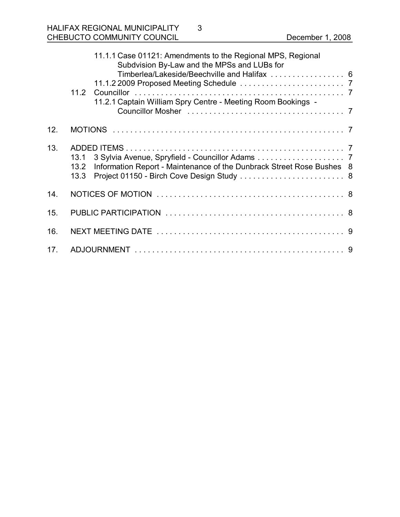|     | 11.1.1 Case 01121: Amendments to the Regional MPS, Regional<br>Subdvision By-Law and the MPSs and LUBs for<br>Timberlea/Lakeside/Beechville and Halifax  6<br>11.2.1 Captain William Spry Centre - Meeting Room Bookings - |  |
|-----|----------------------------------------------------------------------------------------------------------------------------------------------------------------------------------------------------------------------------|--|
| 12. |                                                                                                                                                                                                                            |  |
| 13. | 13.1<br>Information Report - Maintenance of the Dunbrack Street Rose Bushes 8<br>13.2<br>Project 01150 - Birch Cove Design Study  8<br>13.3                                                                                |  |
| 14. |                                                                                                                                                                                                                            |  |
| 15. |                                                                                                                                                                                                                            |  |
| 16. |                                                                                                                                                                                                                            |  |
| 17. |                                                                                                                                                                                                                            |  |

3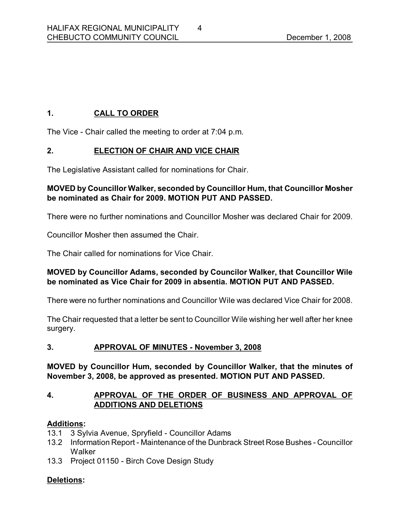# **1. CALL TO ORDER**

The Vice Chair called the meeting to order at 7:04 p.m.

# **2. ELECTION OF CHAIR AND VICE CHAIR**

The Legislative Assistant called for nominations for Chair.

## **MOVED by Councillor Walker, seconded by Councillor Hum, that Councillor Mosher be nominated as Chair for 2009. MOTION PUT AND PASSED.**

There were no further nominations and Councillor Mosher was declared Chair for 2009.

Councillor Mosher then assumed the Chair.

The Chair called for nominations for Vice Chair.

### **MOVED by Councillor Adams, seconded by Councilor Walker, that Councillor Wile be nominated as Vice Chair for 2009 in absentia. MOTION PUT AND PASSED.**

There were no further nominations and Councillor Wile was declared Vice Chair for 2008.

The Chair requested that a letter be sent to Councillor Wile wishing her well after her knee surgery.

### **3. APPROVAL OF MINUTES November 3, 2008**

**MOVED by Councillor Hum, seconded by Councillor Walker, that the minutes of November 3, 2008, be approved as presented. MOTION PUT AND PASSED.** 

### **4. APPROVAL OF THE ORDER OF BUSINESS AND APPROVAL OF ADDITIONS AND DELETIONS**

### **Additions:**

- 13.1 3 Sylvia Avenue, Spryfield Councillor Adams
- 13.2 Information Report Maintenance of the Dunbrack Street Rose Bushes Councillor **Walker**
- 13.3 Project 01150 Birch Cove Design Study

## **Deletions:**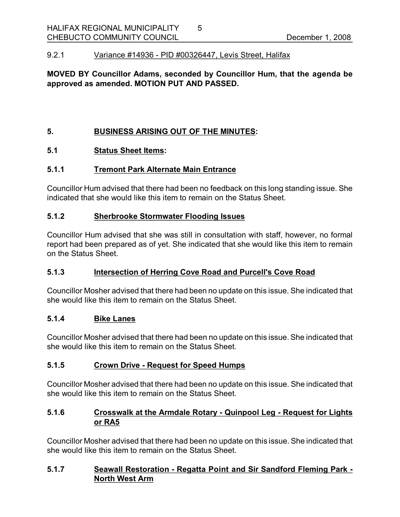#### 9.2.1 Variance #14936 PID #00326447, Levis Street, Halifax

### **MOVED BY Councillor Adams, seconded by Councillor Hum, that the agenda be approved as amended. MOTION PUT AND PASSED.**

5

### **5. BUSINESS ARISING OUT OF THE MINUTES:**

### **5.1 Status Sheet Items:**

#### **5.1.1 Tremont Park Alternate Main Entrance**

Councillor Hum advised that there had been no feedback on this long standing issue. She indicated that she would like this item to remain on the Status Sheet.

### **5.1.2 Sherbrooke Stormwater Flooding Issues**

Councillor Hum advised that she was still in consultation with staff, however, no formal report had been prepared as of yet. She indicated that she would like this item to remain on the Status Sheet.

### **5.1.3 Intersection of Herring Cove Road and Purcell's Cove Road**

Councillor Mosher advised that there had been no update on this issue. She indicated that she would like this item to remain on the Status Sheet.

### **5.1.4 Bike Lanes**

Councillor Mosher advised that there had been no update on this issue. She indicated that she would like this item to remain on the Status Sheet.

### **5.1.5 Crown Drive Request for Speed Humps**

Councillor Mosher advised that there had been no update on this issue. She indicated that she would like this item to remain on the Status Sheet.

### **5.1.6 Crosswalk at the Armdale Rotary Quinpool Leg Request for Lights or RA5**

Councillor Mosher advised that there had been no update on this issue. She indicated that she would like this item to remain on the Status Sheet.

### **5.1.7 Seawall Restoration Regatta Point and Sir Sandford Fleming Park North West Arm**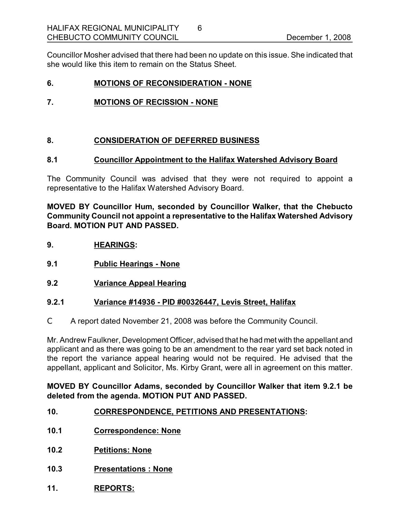Councillor Mosher advised that there had been no update on this issue. She indicated that she would like this item to remain on the Status Sheet.

6

### **6. MOTIONS OF RECONSIDERATION NONE**

### **7. MOTIONS OF RECISSION NONE**

### **8. CONSIDERATION OF DEFERRED BUSINESS**

### **8.1 Councillor Appointment to the Halifax Watershed Advisory Board**

The Community Council was advised that they were not required to appoint a representative to the Halifax Watershed Advisory Board.

**MOVED BY Councillor Hum, seconded by Councillor Walker, that the Chebucto Community Council not appoint a representative to the Halifax Watershed Advisory Board. MOTION PUT AND PASSED.** 

- **9. HEARINGS:**
- **9.1 Public Hearings None**
- **9.2 Variance Appeal Hearing**

### **9.2.1 Variance #14936 PID #00326447, Levis Street, Halifax**

C A report dated November 21, 2008 was before the Community Council.

Mr. Andrew Faulkner, Development Officer, advised that he had met with the appellant and applicant and as there was going to be an amendment to the rear yard set back noted in the report the variance appeal hearing would not be required. He advised that the appellant, applicant and Solicitor, Ms. Kirby Grant, were all in agreement on this matter.

#### **MOVED BY Councillor Adams, seconded by Councillor Walker that item 9.2.1 be deleted from the agenda. MOTION PUT AND PASSED.**

### **10. CORRESPONDENCE, PETITIONS AND PRESENTATIONS:**

- **10.1 Correspondence: None**
- **10.2 Petitions: None**
- **10.3 Presentations : None**
- **11. REPORTS:**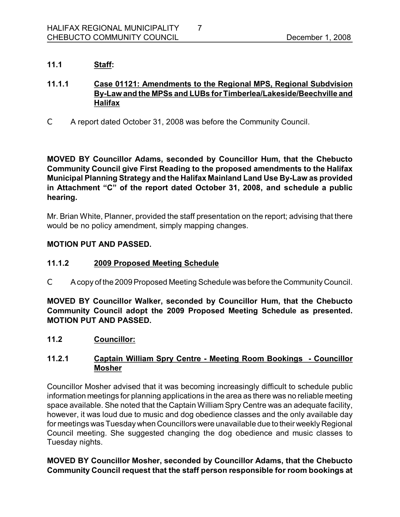### **11.1 Staff:**

### **11.1.1 Case 01121: Amendments to the Regional MPS, Regional Subdvision ByLaw and the MPSs and LUBs forTimberlea/Lakeside/Beechville and Halifax**

7

C A report dated October 31, 2008 was before the Community Council.

**MOVED BY Councillor Adams, seconded by Councillor Hum, that the Chebucto Community Council give First Reading to the proposed amendments to the Halifax Municipal Planning Strategy and the Halifax Mainland Land Use ByLaw as provided in Attachment "C" of the report dated October 31, 2008, and schedule a public hearing.**

Mr. Brian White, Planner, provided the staff presentation on the report; advising that there would be no policy amendment, simply mapping changes.

### **MOTION PUT AND PASSED.**

### **11.1.2 2009 Proposed Meeting Schedule**

C Acopy of the 2009 Proposed Meeting Schedule was before the Community Council.

**MOVED BY Councillor Walker, seconded by Councillor Hum, that the Chebucto Community Council adopt the 2009 Proposed Meeting Schedule as presented. MOTION PUT AND PASSED.** 

**11.2 Councillor:**

### **11.2.1 Captain William Spry Centre Meeting Room Bookings Councillor Mosher**

Councillor Mosher advised that it was becoming increasingly difficult to schedule public information meetings for planning applications in the area as there was no reliable meeting space available. She noted that the Captain William Spry Centre was an adequate facility, however, it was loud due to music and dog obedience classes and the only available day for meetings was Tuesday when Councillors were unavailable due to their weekly Regional Council meeting. She suggested changing the dog obedience and music classes to Tuesday nights.

**MOVED BY Councillor Mosher, seconded by Councillor Adams, that the Chebucto Community Council request that the staff person responsible for room bookings at**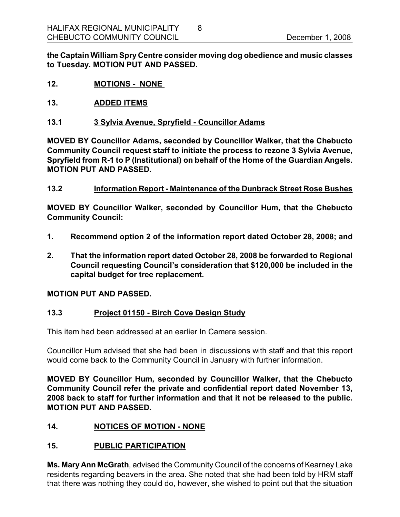**the Captain William Spry Centre consider moving dog obedience and music classes to Tuesday. MOTION PUT AND PASSED.** 

8

- **12. MOTIONS NONE**
- **13. ADDED ITEMS**
- **13.1 3 Sylvia Avenue, Spryfield Councillor Adams**

**MOVED BY Councillor Adams, seconded by Councillor Walker, that the Chebucto Community Council request staff to initiate the process to rezone 3 Sylvia Avenue, Spryfield from R1 to P (Institutional) on behalf of the Home of the Guardian Angels. MOTION PUT AND PASSED.** 

**13.2 Information Report Maintenance of the Dunbrack Street Rose Bushes**

**MOVED BY Councillor Walker, seconded by Councillor Hum, that the Chebucto Community Council:**

- **1. Recommend option 2 of the information report dated October 28, 2008; and**
- **2. That the information report dated October 28, 2008 be forwarded to Regional Council requesting Council's consideration that \$120,000 be included in the capital budget for tree replacement.**

### **MOTION PUT AND PASSED.**

### **13.3 Project 01150 Birch Cove Design Study**

This item had been addressed at an earlier In Camera session.

Councillor Hum advised that she had been in discussions with staff and that this report would come back to the Community Council in January with further information.

**MOVED BY Councillor Hum, seconded by Councillor Walker, that the Chebucto Community Council refer the private and confidential report dated November 13, 2008 back to staff for further information and that it not be released to the public. MOTION PUT AND PASSED.** 

### **14. NOTICES OF MOTION - NONE**

### **15. PUBLIC PARTICIPATION**

**Ms. Mary Ann McGrath**, advised the Community Council of the concerns of Kearney Lake residents regarding beavers in the area. She noted that she had been told by HRM staff that there was nothing they could do, however, she wished to point out that the situation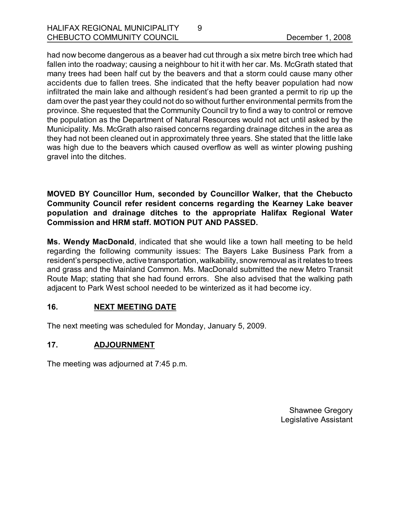had now become dangerous as a beaver had cut through a six metre birch tree which had fallen into the roadway; causing a neighbour to hit it with her car. Ms. McGrath stated that many trees had been half cut by the beavers and that a storm could cause many other accidents due to fallen trees. She indicated that the hefty beaver population had now infiltrated the main lake and although resident's had been granted a permit to rip up the dam over the past year they could not do so without further environmental permits from the province. She requested that the Community Council try to find a way to control or remove the population as the Department of Natural Resources would not act until asked by the Municipality. Ms. McGrath also raised concerns regarding drainage ditches in the area as they had not been cleaned out in approximately three years. She stated that the little lake was high due to the beavers which caused overflow as well as winter plowing pushing gravel into the ditches.

9

**MOVED BY Councillor Hum, seconded by Councillor Walker, that the Chebucto Community Council refer resident concerns regarding the Kearney Lake beaver population and drainage ditches to the appropriate Halifax Regional Water Commission and HRM staff. MOTION PUT AND PASSED.** 

**Ms. Wendy MacDonald**, indicated that she would like a town hall meeting to be held regarding the following community issues: The Bayers Lake Business Park from a resident's perspective, active transportation, walkability, snowremoval as it relates to trees and grass and the Mainland Common. Ms. MacDonald submitted the new Metro Transit Route Map; stating that she had found errors. She also advised that the walking path adjacent to Park West school needed to be winterized as it had become icy.

## **16. NEXT MEETING DATE**

The next meeting was scheduled for Monday, January 5, 2009.

# **17. ADJOURNMENT**

The meeting was adjourned at 7:45 p.m.

Shawnee Gregory Legislative Assistant